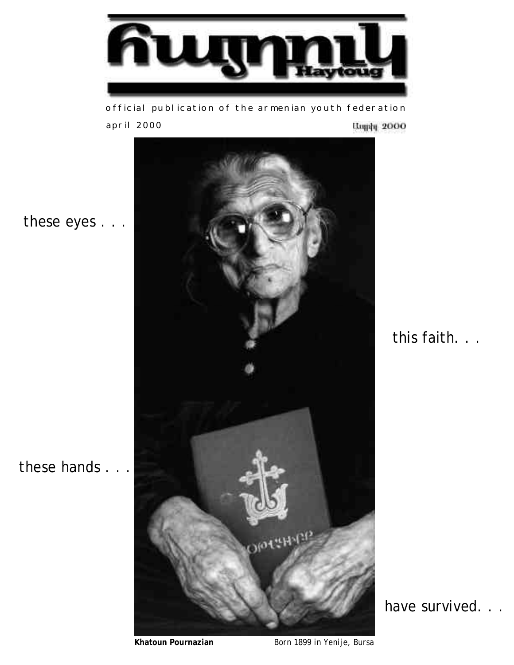

official publication of the armenian youth federation april 2000 **Umphi** 2000

**Olotatica** 

these eyes . . .

these hands . . .

have survived. . .

this faith. . .

**Khatoun Pournazian** *Born 1899 in Yenije, Bursa*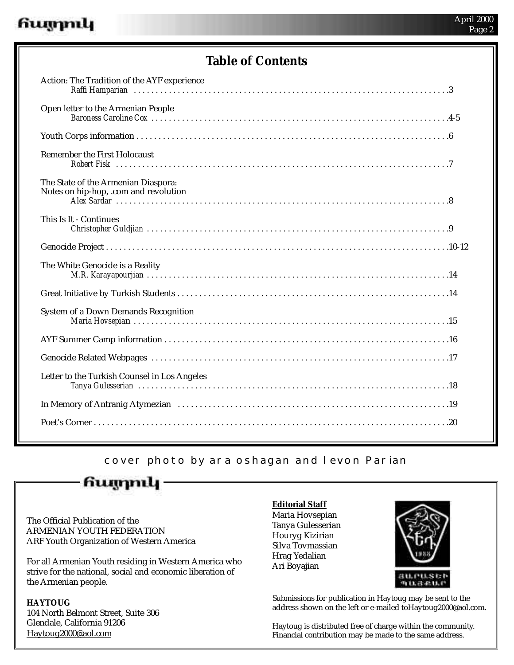### **Table of Contents**

cover photo by ara oshagan and levon Parian



The Official Publication of the ARMENIAN YOUTH FEDERATION ARF Youth Organization of Western America

For all Armenian Youth residing in Western America who strive for the national, social and economic liberation of the Armenian people.

#### **HAYTOUG**

104 North Belmont Street, Suite 306 Glendale, California 91206 Haytoug2000@aol.com

**Editorial Staff** Maria Hovsepian Tanya Gulesserian Houryg Kizirian Silva Tovmassian Hrag Yedalian Ari Boyajian



Submissions for publication in Haytoug may be sent to the address shown on the left or e-mailed toHaytoug2000@aol.com.

Haytoug is distributed free of charge within the community. Financial contribution may be made to the same address.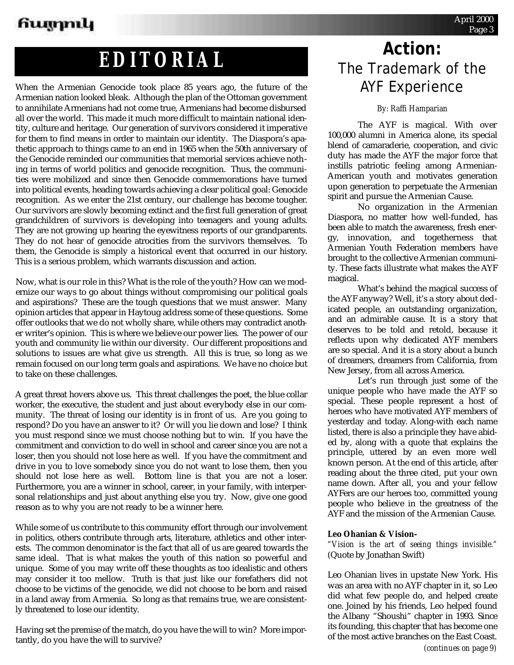## **E D I T O R I A L**

When the Armenian Genocide took place 85 years ago, the future of the Armenian nation looked bleak. Although the plan of the Ottoman government to annihilate Armenians had not come true, Armenians had become disbursed all over the world. This made it much more difficult to maintain national identity, culture and heritage. Our generation of survivors considered it imperative for them to find means in order to maintain our identity. The Diaspora's apathetic approach to things came to an end in 1965 when the 50th anniversary of the Genocide reminded our communities that memorial services achieve nothing in terms of world politics and genocide recognition. Thus, the communities were mobilized and since then Genocide commemorations have turned into political events, heading towards achieving a clear political goal: Genocide recognition. As we enter the 21st century, our challenge has become tougher. Our survivors are slowly becoming extinct and the first full generation of great grandchildren of survivors is developing into teenagers and young adults. They are not growing up hearing the eyewitness reports of our grandparents. They do not hear of genocide atrocities from the survivors themselves. To them, the Genocide is simply a historical event that occurred in our history. This is a serious problem, which warrants discussion and action.

Now, what is our role in this? What is the role of the youth? How can we modernize our ways to go about things without compromising our political goals and aspirations? These are the tough questions that we must answer. Many opinion articles that appear in Haytoug address some of these questions. Some offer outlooks that we do not wholly share, while others may contradict another writer's opinion. This is where we believe our power lies. The power of our youth and community lie within our diversity. Our different propositions and solutions to issues are what give us strength. All this is true, so long as we remain focused on our long term goals and aspirations. We have no choice but to take on these challenges.

A great threat hovers above us. This threat challenges the poet, the blue collar worker, the executive, the student and just about everybody else in our community. The threat of losing our identity is in front of us. Are you going to respond? Do you have an answer to it? Or will you lie down and lose? I think you must respond since we must choose nothing but to win. If you have the commitment and conviction to do well in school and career since you are not a loser, then you should not lose here as well. If you have the commitment and drive in you to love somebody since you do not want to lose them, then you should not lose here as well. Bottom line is that you are not a loser. Furthermore, you are a winner in school, career, in your family, with interpersonal relationships and just about anything else you try. Now, give one good reason as to why you are not ready to be a winner here.

While some of us contribute to this community effort through our involvement in politics, others contribute through arts, literature, athletics and other interests. The common denominator is the fact that all of us are geared towards the same ideal. That is what makes the youth of this nation so powerful and unique. Some of you may write off these thoughts as too idealistic and others may consider it too mellow. Truth is that just like our forefathers did not choose to be victims of the genocide, we did not choose to be born and raised in a land away from Armenia. So long as that remains true, we are consistently threatened to lose our identity.

Having set the premise of the match, do you have the will to win? More importantly, do you have the will to survive?

## **Action:** The Trademark of the AYF Experience

#### *By: Raffi Hamparian*

The AYF is magical. With over 100,000 alumni in America alone, its special blend of camaraderie, cooperation, and civic duty has made the AYF the major force that instills patriotic feeling among Armenian-American youth and motivates generation upon generation to perpetuate the Armenian spirit and pursue the Armenian Cause.

No organization in the Armenian Diaspora, no matter how well-funded, has been able to match the awareness, fresh energy, innovation, and togetherness that Armenian Youth Federation members have brought to the collective Armenian community. These facts illustrate what makes the AYF magical.

What's behind the magical success of the AYF anyway? Well, it's a story about dedicated people, an outstanding organization, and an admirable cause. It is a story that deserves to be told and retold, because it reflects upon why dedicated AYF members are so special. And it is a story about a bunch of dreamers, dreamers from California, from New Jersey, from all across America.

Let's run through just some of the unique people who have made the AYF so special. These people represent a host of heroes who have motivated AYF members of yesterday and today. Along-with each name listed, there is also a principle they have abided by, along with a quote that explains the principle, uttered by an even more well known person. At the end of this article, after reading about the three cited, put your own name down. After all, you and your fellow AYFers are our heroes too, committed young people who believe in the greatness of the AYF and the mission of the Armenian Cause.

#### **Leo Ohanian & Vision-**

*"Vision is the art of seeing things invisible."* (Quote by Jonathan Swift)

Leo Ohanian lives in upstate New York. His was an area with no AYF chapter in it, so Leo did what few people do, and helped create one. Joined by his friends, Leo helped found the Albany "Shoushi" chapter in 1993. Since its founding, this chapter that has become one of the most active branches on the East Coast.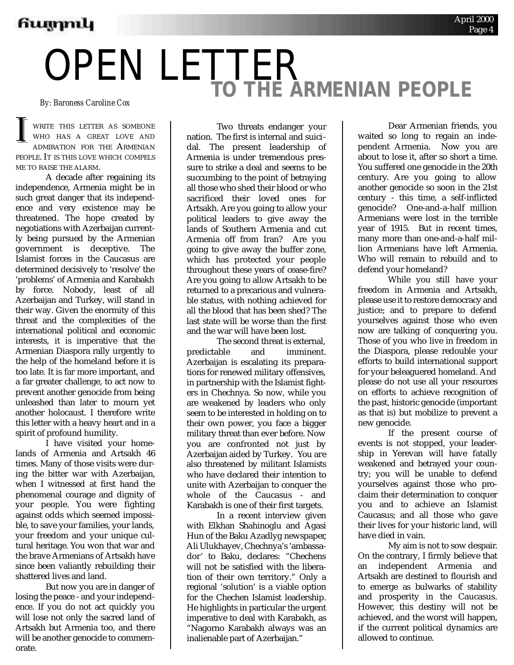# OPEN LETTER **TO THE ARMENIAN PEOPLE**

*By: Baroness Caroline Cox*

WRITE THIS LETTER AS SOMEONE WHO HAS A GREAT LOVE AND ADMIRATION FOR THE ARMENIAN PEOPLE. IT IS THIS LOVE WHICH COMPELS ME TO RAISE THE ALARM.

A decade after regaining its independence, Armenia might be in such great danger that its independence and very existence may be threatened. The hope created by negotiations with Azerbaijan currently being pursued by the Armenian government is deceptive. The Islamist forces in the Caucasus are determined decisively to 'resolve' the 'problems' of Armenia and Karabakh by force. Nobody, least of all Azerbaijan and Turkey, will stand in their way. Given the enormity of this threat and the complexities of the international political and economic interests, it is imperative that the Armenian Diaspora rally urgently to the help of the homeland before it is too late. It is far more important, and a far greater challenge, to act now to prevent another genocide from being unleashed than later to mourn yet another holocaust. I therefore write this letter with a heavy heart and in a spirit of profound humility.

I have visited your homelands of Armenia and Artsakh 46 times. Many of those visits were during the bitter war with Azerbaijan, when I witnessed at first hand the phenomenal courage and dignity of your people. You were fighting against odds which seemed impossible, to save your families, your lands, your freedom and your unique cultural heritage. You won that war and the brave Armenians of Artsakh have since been valiantly rebuilding their shattered lives and land.

But now you are in danger of losing the peace - and your independence. If you do not act quickly you will lose not only the sacred land of Artsakh but Armenia too, and there will be another genocide to commemorate.

Two threats endanger your nation. The first is internal and suicidal. The present leadership of Armenia is under tremendous pressure to strike a deal and seems to be succumbing to the point of betraying all those who shed their blood or who sacrificed their loved ones for Artsakh. Are you going to allow your political leaders to give away the lands of Southern Armenia and cut Armenia off from Iran? Are you going to give away the buffer zone, which has protected your people throughout these years of cease-fire? Are you going to allow Artsakh to be returned to a precarious and vulnerable status, with nothing achieved for all the blood that has been shed? The last state will be worse than the first and the war will have been lost.

The second threat is external, p redictable and imminent. Azerbaijan is escalating its preparations for renewed military offensives, in partnership with the Islamist fighters in Chechnya. So now, while you are weakened by leaders who only seem to be interested in holding on to their own power, you face a bigger military threat than ever before. Now you are confronted not just by Azerbaijan aided by Turkey. You are also threatened by militant Islamists who have declared their intention to unite with Azerbaijan to conquer the whole of the Caucasus - and Karabakh is one of their first targets.

In a recent interview given with Elkhan Shahinoglu and Agasi Hun of the Baku Azadlyg newspaper, Ali Ulukhayev, Chechnya's 'ambassador' to Baku, declares: "Chechens will not be satisfied with the liberation of their own territory." Only a regional 'solution' is a viable option for the Chechen Islamist leadership. He highlights in particular the urgent imperative to deal with Karabakh, as "Nagorno Karabakh always was an inalienable part of Azerbaijan."

Dear Armenian friends, you waited so long to regain an independent Armenia. Now you are about to lose it, after so short a time. You suffered one genocide in the 20th century. Are you going to allow another genocide so soon in the 21st century - this time, a self-inflicted genocide? One-and-a-half million Armenians were lost in the terrible year of 1915. But in recent times, many more than one-and-a-half million Armenians have left Armenia. Who will remain to rebuild and to defend your homeland?

While you still have your freedom in Armenia and Artsakh, please use it to restore democracy and justice; and to prepare to defend yourselves against those who even now are talking of conquering you. Those of you who live in freedom in the Diaspora, please redouble your efforts to build international support for your beleaguered homeland. And please do not use all your resources on efforts to achieve recognition of the past, historic genocide (important as that is) but mobilize to prevent a new genocide.

If the present course of events is not stopped, your leadership in Yerevan will have fatally weakened and betrayed your country; you will be unable to defend yourselves against those who proclaim their determination to conquer you and to achieve an Islamist Caucasus; and all those who gave their lives for your historic land, will have died in vain.

My aim is not to sow despair. On the contrary, I firmly believe that an independent Armenia and Artsakh are destined to flourish and to emerge as bulwarks of stability and prosperity in the Caucasus. However, this destiny will not be achieved, and the worst will happen, if the current political dynamics are allowed to continue.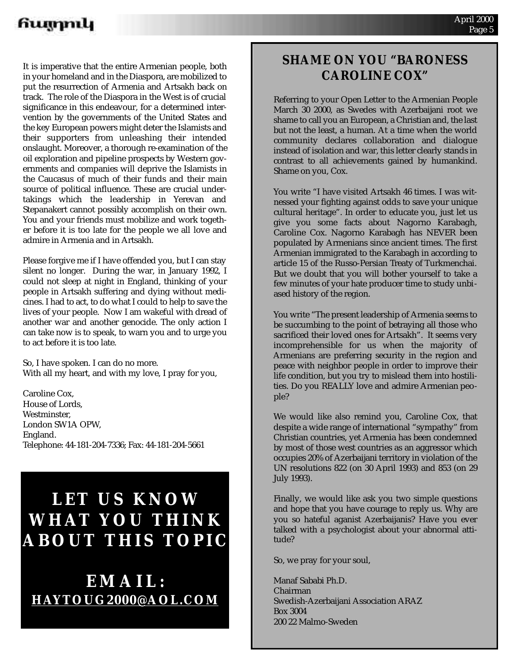It is imperative that the entire Armenian people, both in your homeland and in the Diaspora, are mobilized to put the resurrection of Armenia and Artsakh back on track. The role of the Diaspora in the West is of crucial significance in this endeavour, for a determined intervention by the governments of the United States and the key European powers might deter the Islamists and their supporters from unleashing their intended onslaught. Moreover, a thorough re-examination of the oil exploration and pipeline prospects by Western governments and companies will deprive the Islamists in the Caucasus of much of their funds and their main source of political influence. These are crucial undertakings which the leadership in Yerevan and Stepanakert cannot possibly accomplish on their own. You and your friends must mobilize and work together before it is too late for the people we all love and admire in Armenia and in Artsakh.

Please forgive me if I have offended you, but I can stay silent no longer. During the war, in January 1992, I could not sleep at night in England, thinking of your people in Artsakh suffering and dying without medicines. I had to act, to do what I could to help to save the lives of your people. Now I am wakeful with dread of another war and another genocide. The only action I can take now is to speak, to warn you and to urge you to act before it is too late.

So, I have spoken. I can do no more. With all my heart, and with my love, I pray for you,

Caroline Cox, House of Lords, Westminster, London SW1A OPW, England. Telephone: 44-181-204-7336; Fax: 44-181-204-5661

## **L E T U S K N O W W H AT Y O U T H I N K ABOUT THIS TOPIC**

## **E M A I L : H AY T O U G 2 0 0 0 @ A O L . C O M**

## **SHAME ON YOU "BARONESS CAROLINE COX"**

Referring to your Open Letter to the Armenian People March 30 2000, as Swedes with Azerbaijani root we shame to call you an European, a Christian and, the last but not the least, a human. At a time when the world community declares collaboration and dialogue instead of isolation and war, this letter clearly stands in contrast to all achievements gained by humankind. Shame on you, Cox.

You write "I have visited Artsakh 46 times. I was witnessed your fighting against odds to save your unique cultural heritage". In order to educate you, just let us give you some facts about Nagorno Karabagh, Caroline Cox. Nagorno Karabagh has NEVER been populated by Armenians since ancient times. The first Armenian immigrated to the Karabagh in according to article 15 of the Russo-Persian Treaty of Turkmenchai. But we doubt that you will bother yourself to take a few minutes of your hate producer time to study unbiased history of the region.

You write "The present leadership of Armenia seems to be succumbing to the point of betraying all those who sacrificed their loved ones for Artsakh". It seems very incomprehensible for us when the majority of Armenians are preferring security in the region and peace with neighbor people in order to improve their life condition, but you try to mislead them into hostilities. Do you REALLY love and admire Armenian people?

We would like also remind you, Caroline Cox, that despite a wide range of international "sympathy" from Christian countries, yet Armenia has been condemned by most of those west countries as an aggressor which occupies 20% of Azerbaijani territory in violation of the UN resolutions 822 (on 30 April 1993) and 853 (on 29 July 1993).

Finally, we would like ask you two simple questions and hope that you have courage to reply us. Why are you so hateful aganist Azerbaijanis? Have you ever talked with a psychologist about your abnormal attitude?

So, we pray for your soul,

Manaf Sababi Ph.D. Chairman Swedish-Azerbaijani Association ARAZ Box 3004 200 22 Malmo-Sweden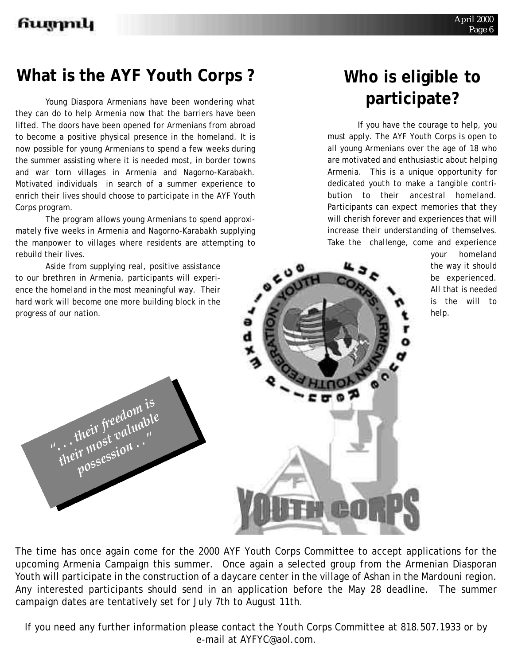## **What is the AYF Youth Corps ?**

Young Diaspora Armenians have been wondering what they can do to help Armenia now that the barriers have been lifted. The doors have been opened for Armenians from abroad to become a positive physical presence in the homeland. It is now possible for young Armenians to spend a few weeks during the summer assisting where it is needed most, in border towns and war torn villages in Armenia and Nagorno-Karabakh. Motivated individuals in search of a summer experience to enrich their lives should choose to participate in the AYF Youth Corps program.

The program allows young Armenians to spend approximately five weeks in Armenia and Nagorno-Karabakh supplying the manpower to villages where residents are attempting to rebuild their lives.

Aside from supplying real, positive assistance to our brethren in Armenia, participants will experience the homeland in the most meaningful way. Their hard work will become one more building block in the progress of our nation.

## **Who is eligible to participate?**

If you have the courage to help, you must apply. The AYF Youth Corps is open to all young Armenians over the age of 18 who are motivated and enthusiastic about helping Armenia. This is a unique opportunity for dedicated youth to make a tangible contribution to their ancestral homeland. Participants can expect memories that they will cherish forever and experiences that will increase their understanding of themselves. Take the challenge, come and experience

> your homeland the way it should be experienced. All that is needed is the will to help.

" their freedom is<br>"their most valuable"<br>"their most valuable"



The time has once again come for the 2000 AYF Youth Corps Committee to accept applications for the upcoming Armenia Campaign this summer. Once again a selected group from the Armenian Diasporan Youth will participate in the construction of a daycare center in the village of Ashan in the Mardouni region. Any interested participants should send in an application before the May 28 deadline. The summer campaign dates are tentatively set for July 7th to August 11th.

If you need any further information please contact the Youth Corps Committee at 818.507.1933 or by e-mail at AYFYC@aol.com.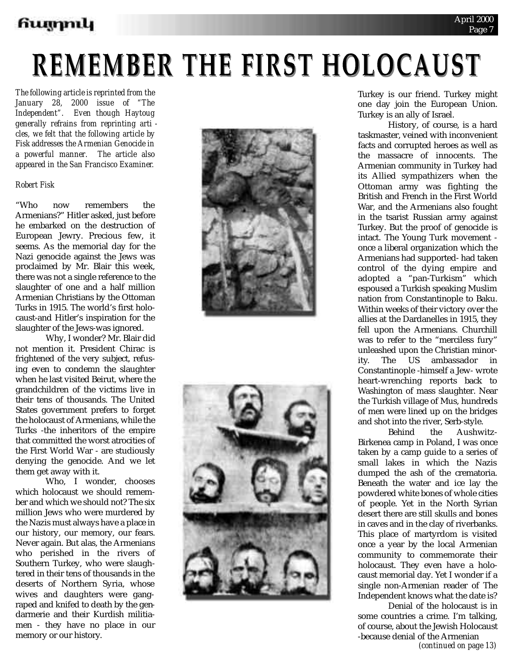# **REMEMBER THE FIRST HOLOCAUST**

*The following article is reprinted from the January 28, 2000 issue of "The Independent". Even though Haytoug generally refrains from reprinting arti cles, we felt that the following article by Fisk addresses the Armenian Genocide in a powerful manner. The article also appeared in the San Francisco Examiner.*

#### *Robert Fisk*

"Who now remembers the Armenians?" Hitler asked, just before he embarked on the destruction of European Jewry. Precious few, it seems. As the memorial day for the Nazi genocide against the Jews was proclaimed by Mr. Blair this week, there was not a single reference to the slaughter of one and a half million Armenian Christians by the Ottoman Turks in 1915. The world's first holocaust-and Hitler's inspiration for the slaughter of the Jews-was ignored.

Why, I wonder? Mr. Blair did not mention it. President Chirac is frightened of the very subject, refus ing even to condemn the slaughter when he last visited Beirut, where the grandchildren of the victims live in their tens of thousands. The United States government prefers to forget the holocaust of Armenians, while the Turks -the inheritors of the empire that committed the worst atrocities of the First World War - are studiously denying the genocide. And we let them get away with it.

Who, I wonder, chooses which holocaust we should remem ber and which we should not? The six million Jews who were murdered by the Nazis must always have a place in our history, our memory, our fears. Never again. But alas, the Armenians who perished in the rivers of Southern Turkey, who were slaugh tered in their tens of thousands in the deserts of Northern Syria, whose wives and daughters were gangraped and knifed to death by the gendarmerie and their Kurdish militiamen - they have no place in our





one day join the European Union. Turkey is an ally of Israel.

memory or our historic property in the second of the second of the second of the second of the second of the second of the second of the second of the second of the second of the second of the second of the second of the History, of course, is a har d taskmaster, veined with inconvenient facts and corrupted heroes as well as the massacre of innocents. The Armenian community in Turkey had its Allied sympathizers when the Ottoman army was fighting the British and French in the First World War, and the Armenians also fought in the tsarist Russian army against Turkey. But the proof of genocide is intact. The Young Turk movement once a liberal organization which the Armenians had supported- had taken control of the dying empire and adopted a "pan-Turkism" which espoused a Turkish speaking Muslim nation from Constantinople to Baku. Within weeks of their victory over the allies at the Dardanelles in 1915, they fell upon the Armenians. Churchill was to refer to the "merciless fury" unleashed upon the Christian minor ity. The US ambassador in Constantinople -himself a Jew- wrote heart-wrenching reports back to Washington of mass slaughter. Near the Turkish village of Mus, hundreds of men were lined up on the bridges and shot into the river, Serb-style.

Behind the Aushwitz-Birkenea camp in Poland, I was once taken by a camp guide to a series of small lakes in which the Nazis dumped the ash of the crematoria. Beneath the water and ice lay the powdered white bones of whole cities of people. Yet in the North Syrian desert there are still skulls and bones in caves and in the clay of riverbanks. This place of martyrdom is visited once a year by the local Armenian community to commemorate their holocaust. They even have a holo caust memorial day. Yet I wonder if a single non-Armenian reader of The Independent knows what the date is?

Denial of the holocaust is in some countries a crime. I'm talking, of course, about the Jewish Holocaust -because denial of the Armenian *(continued on page 13)*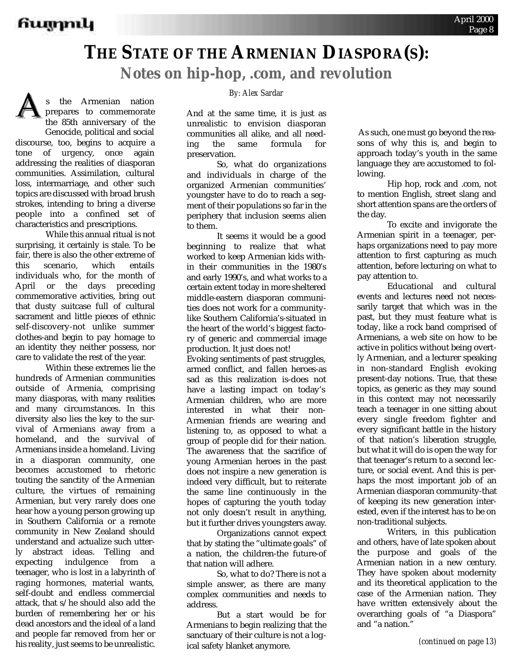## **THE STATE OF THE ARMENIAN DIASPORA(S): Notes on hip-hop, .com, and revolution**

the Armenian nation prepares to commemorate the 85th anniversary of the Genocide, political and social discourse, too, begins to acquire a tone of urgency, once again addressing the realities of diasporan communities. Assimilation, cultural loss, intermarriage, and other such topics are discussed with broad brush strokes, intending to bring a diverse people into a confined set of characteristics and prescriptions.

While this annual ritual is not surprising, it certainly is stale. To be fair, there is also the other extreme of this scenario, which entails individuals who, for the month of April or the days preceding commemorative activities, bring out that dusty suitcase full of cultural sacrament and little pieces of ethnic self-discovery-not unlike summer clothes-and begin to pay homage to an identity they neither possess, nor care to validate the rest of the year.

Within these extremes lie the hundreds of Armenian communities outside of Armenia, comprising many diasporas, with many realities and many circumstances. In this diversity also lies the key to the survival of Armenians away from a homeland, and the survival of Armenians inside a homeland. Living in a diasporan community, one becomes accustomed to rhetoric touting the sanctity of the Armenian culture, the virtues of remaining Armenian, but very rarely does one hear how a young person growing up in Southern California or a remote community in New Zealand should understand and actualize such utterly abstract ideas. Telling and expecting indulgence from a teenager, who is lost in a labyrinth of raging hormones, material wants, self-doubt and endless commercial attack, that s/he should also add the burden of remembering her or his dead ancestors and the ideal of a land and people far removed from her or his reality, just seems to be unrealistic.

#### *By: Alex Sardar*

And at the same time, it is just as unrealistic to envision diasporan communities all alike, and all needing the same formula for preservation.

So, what do organizations and individuals in charge of the organized Armenian communities' youngster have to do to reach a segment of their populations so far in the periphery that inclusion seems alien to them.

It seems it would be a good beginning to realize that what worked to keep Armenian kids within their communities in the 1980's and early 1990's, and what works to a certain extent today in more sheltered middle-eastern diasporan communities does not work for a communitylike Southern California's-situated in the heart of the world's biggest factory of generic and commercial image production. It just does not!

Evoking sentiments of past struggles, armed conflict, and fallen heroes-as sad as this realization is-does not have a lasting impact on today's Armenian children, who are more interested in what their non-Armenian friends are wearing and listening to, as opposed to what a group of people did for their nation. The awareness that the sacrifice of young Armenian heroes in the past does not inspire a new generation is indeed very difficult, but to reiterate the same line continuously in the hopes of capturing the youth today not only doesn't result in anything, but it further drives youngsters away.

Organizations cannot expect that by stating the "ultimate goals" of a nation, the children-the future-of that nation will adhere.

So, what to do? There is not a simple answer, as there are many complex communities and needs to address.

But a start would be for Armenians to begin realizing that the sanctuary of their culture is not a logical safety blanket anymore.

As such, one must go beyond the reasons of why this is, and begin to approach today's youth in the same language they are accustomed to following.

Hip hop, rock and .com, not to mention English, street slang and short attention spans are the orders of the day.

To excite and invigorate the Armenian spirit in a teenager, perhaps organizations need to pay more attention to first capturing as much attention, before lecturing on what to pay attention to.

Educational and cultural events and lectures need not necessarily target that which was in the past, but they must feature what is today, like a rock band comprised of Armenians, a web site on how to be active in politics without being overtly Armenian, and a lecturer speaking in non-standard English evoking present-day notions. True, that these topics, as generic as they may sound in this context may not necessarily teach a teenager in one sitting about every single freedom fighter and every significant battle in the history of that nation's liberation struggle, but what it will do is open the way for that teenager's return to a second lecture, or social event. And this is perhaps the most important job of an Armenian diasporan community-that of keeping its new generation interested, even if the interest has to be on non-traditional subjects.

Writers, in this publication and others, have of late spoken about the purpose and goals of the Armenian nation in a new century. They have spoken about modernity and its theoretical application to the case of the Armenian nation. They have written extensively about the overarching goals of "a Diaspora" and "a nation."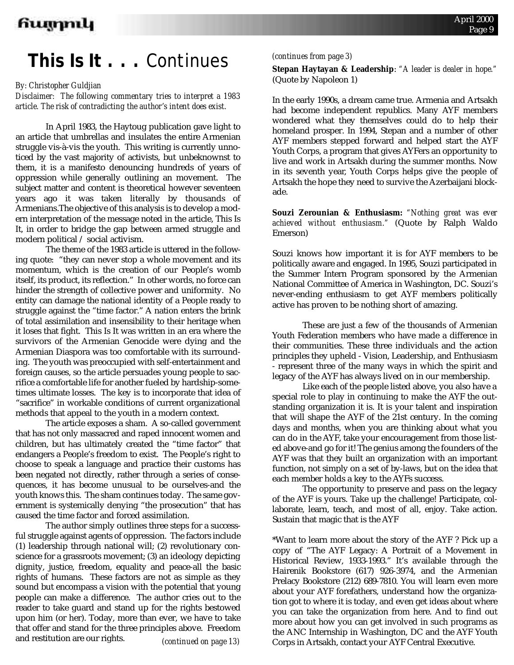## **This Is It . . .** Continues

#### *By: Christopher Guldjian*

*Disclaimer: The following commentary tries to interpret a 1983 article. The risk of contradicting the author's intent does exist.*

In April 1983, the Haytoug publication gave light to an article that umbrellas and insulates the entire Armenian struggle vis-à-vis the youth. This writing is currently unnoticed by the vast majority of activists, but unbeknownst to them, it is a manifesto denouncing hundreds of years of oppression while generally outlining an movement. The subject matter and content is theoretical however seventeen years ago it was taken literally by thousands of Armenians.The objective of this analysis is to develop a modern interpretation of the message noted in the article, This Is It, in order to bridge the gap between armed struggle and modern political / social activism.

The theme of the 1983 article is uttered in the following quote: "they can never stop a whole movement and its momentum, which is the creation of our People's womb itself, its product, its reflection." In other words, no force can hinder the strength of collective power and uniformity. No entity can damage the national identity of a People ready to struggle against the "time factor." A nation enters the brink of total assimilation and insensibility to their heritage when it loses that fight. This Is It was written in an era where the survivors of the Armenian Genocide were dying and the Armenian Diaspora was too comfortable with its surrounding. The youth was preoccupied with self-entertainment and foreign causes, so the article persuades young people to sacrifice a comfortable life for another fueled by hardship-sometimes ultimate losses. The key is to incorporate that idea of "sacrifice" in workable conditions of current organizational methods that appeal to the youth in a modern context.

The article exposes a sham. A so-called government that has not only massacred and raped innocent women and children, but has ultimately created the "time factor" that endangers a People's freedom to exist. The People's right to choose to speak a language and practice their customs has been negated not directly, rather through a series of consequences, it has become unusual to be ourselves-and the youth knows this. The sham continues today. The same government is systemically denying "the prosecution" that has caused the time factor and forced assimilation.

The author simply outlines three steps for a successful struggle against agents of oppression. The factors include (1) leadership through national will; (2) revolutionary conscience for a grassroots movement; (3) an ideology depicting dignity, justice, freedom, equality and peace-all the basic rights of humans. These factors are not as simple as they sound but encompass a vision with the potential that young people can make a difference. The author cries out to the reader to take guard and stand up for the rights bestowed upon him (or her). Today, more than ever, we have to take that offer and stand for the three principles above. Freedom and restitution are our rights. *(continued on page 13)*

#### *(continues from page 3)*

**Stepan Haytayan & Leadership**: *"A leader is dealer in hope."* (Quote by Napoleon 1)

In the early 1990s, a dream came true. Armenia and Artsakh had become independent republics. Many AYF members wondered what they themselves could do to help their homeland prosper. In 1994, Stepan and a number of other AYF members stepped forward and helped start the AYF Youth Corps, a program that gives AYFers an opportunity to live and work in Artsakh during the summer months. Now in its seventh year, Youth Corps helps give the people of Artsakh the hope they need to survive the Azerbaijani blockade.

**Souzi Zerounian & Enthusiasm:** *"Nothing great was ever* achieved without enthusiasm." (Quote by Ralph Waldo Emerson)

Souzi knows how important it is for AYF members to be politically aware and engaged. In 1995, Souzi participated in the Summer Intern Program sponsored by the Armenian National Committee of America in Washington, DC. Souzi's never-ending enthusiasm to get AYF members politically active has proven to be nothing short of amazing.

These are just a few of the thousands of Armenian Youth Federation members who have made a difference in their communities. These three individuals and the action principles they upheld - Vision, Leadership, and Enthusiasm - represent three of the many ways in which the spirit and legacy of the AYF has always lived on in our membership.

Like each of the people listed above, you also have a special role to play in continuing to make the AYF the outstanding organization it is. It is your talent and inspiration that will shape the AYF of the 21st century. In the coming days and months, when you are thinking about what you can do in the AYF, take your encouragement from those listed above-and go for it! The genius among the founders of the AYF was that they built an organization with an important function, not simply on a set of by-laws, but on the idea that each member holds a key to the AYFs success.

The opportunity to preserve and pass on the legacy of the AYF is yours. Take up the challenge! Participate, collaborate, learn, teach, and most of all, enjoy. Take action. Sustain that magic that is the AYF

\*Want to learn more about the story of the AYF ? Pick up a copy of "The AYF Legacy: A Portrait of a Movement in Historical Review, 1933-1993." It's available through the Hairenik Bookstore (617) 926-3974, and the Armenian Prelacy Bookstore (212) 689-7810. You will learn even more about your AYF forefathers, understand how the organization got to where it is today, and even get ideas about where you can take the organization from here. And to find out more about how you can get involved in such programs as the ANC Internship in Washington, DC and the AYF Youth Corps in Artsakh, contact your AYF Central Executive.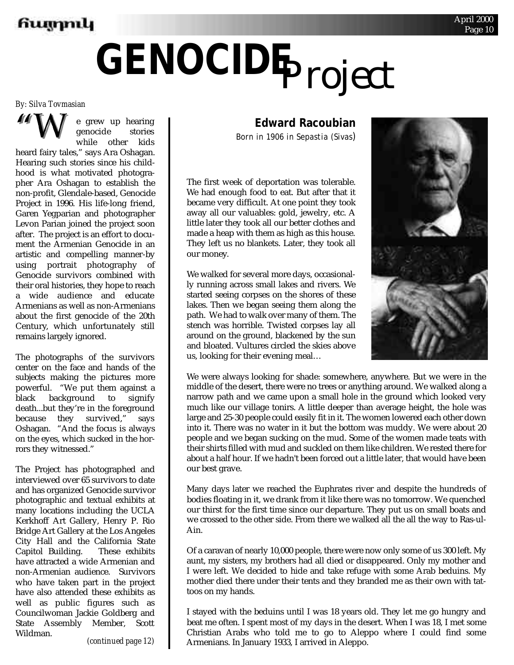# **GENOCIDE***Project*

*By: Silva Tovmasian*

e grew up hearing genocide stories while other kids heard fairy tales," says Ara Oshagan. Hearing such stories since his childhood is what motivated photographer Ara Oshagan to establish the non-profit, Glendale-based, Genocide Project in 1996. His life-long friend, Garen Yegparian and photographer Levon Parian joined the project soon after. The project is an effort to document the Armenian Genocide in an artistic and compelling manner-by using portrait photography of Genocide survivors combined with their oral histories, they hope to reach a wide audience and educate Armenians as well as non-Armenians about the first genocide of the 20th Century, which unfortunately still remains largely ignored.

The photographs of the survivors center on the face and hands of the subjects making the pictures more powerful. "We put them against a black background to signify death...but they're in the foreground because they survived," says Oshagan. "And the focus is always on the eyes, which sucked in the horrors they witnessed."

The Project has photographed and interviewed over 65 survivors to date and has organized Genocide survivor photographic and textual exhibits at many locations including the UCLA Kerkhoff Art Gallery, Henry P. Rio Bridge Art Gallery at the Los Angeles City Hall and the California State Capitol Building. These exhibits have attracted a wide Armenian and non-Armenian audience. Survivors who have taken part in the project have also attended these exhibits as well as public figures such as Councilwoman Jackie Goldberg and State Assembly Member, Scott Wildman.

**Edward Racoubian** *Born in 1906 in Sepastia (Sivas*)

The first week of deportation was tolerable. We had enough food to eat. But after that it became very difficult. At one point they took away all our valuables: gold, jewelry, etc. A little later they took all our better clothes and made a heap with them as high as this house. They left us no blankets. Later, they took all our money.

We walked for several more days, occasionally running across small lakes and rivers. We started seeing corpses on the shores of these lakes. Then we began seeing them along the path. We had to walk over many of them. The stench was horrible. Twisted corpses lay all around on the ground, blackened by the sun and bloated. Vultures circled the skies above us, looking for their evening meal…



We were always looking for shade: somewhere, anywhere. But we were in the middle of the desert, there were no trees or anything around. We walked along a narrow path and we came upon a small hole in the ground which looked very much like our village tonirs. A little deeper than average height, the hole was large and 25-30 people could easily fit in it. The women lowered each other down into it. There was no water in it but the bottom was muddy. We were about 20 people and we began sucking on the mud. Some of the women made teats with their shirts filled with mud and suckled on them like children. We rested there for about a half hour. If we hadn't been forced out a little later, that would have been our best grave.

Many days later we reached the Euphrates river and despite the hundreds of bodies floating in it, we drank from it like there was no tomorrow. We quenched our thirst for the first time since our departure. They put us on small boats and we crossed to the other side. From there we walked all the all the way to Ras-ul-Ain.

Of a caravan of nearly 10,000 people, there were now only some of us 300 left. My aunt, my sisters, my brothers had all died or disappeared. Only my mother and I were left. We decided to hide and take refuge with some Arab beduins. My mother died there under their tents and they branded me as their own with tattoos on my hands.

I stayed with the beduins until I was 18 years old. They let me go hungry and beat me often. I spent most of my days in the desert. When I was 18, I met some Christian Arabs who told me to go to Aleppo where I could find some Armenians. In January 1933, I arrived in Aleppo.

*(continued page 12)*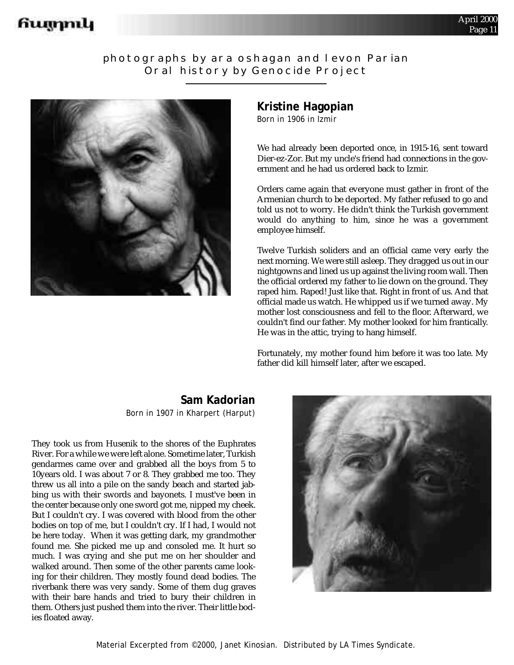#### photographs by ara oshagan and levon Parian Oral history by Genocide Project



**Kristine Hagopian**

*Born in 1906 in Izmir*

We had already been deported once, in 1915-16, sent toward Dier-ez-Zor. But my uncle's friend had connections in the government and he had us ordered back to Izmir.

Orders came again that everyone must gather in front of the Armenian church to be deported. My father refused to go and told us not to worry. He didn't think the Turkish government would do anything to him, since he was a government employee himself.

Twelve Turkish soliders and an official came very early the next morning. We were still asleep. They dragged us out in our nightgowns and lined us up against the living room wall. Then the official ordered my father to lie down on the ground. They raped him. Raped! Just like that. Right in front of us. And that official made us watch. He whipped us if we turned away. My mother lost consciousness and fell to the floor. Afterward, we couldn't find our father. My mother looked for him frantically. He was in the attic, trying to hang himself.

Fortunately, my mother found him before it was too late. My father did kill himself later, after we escaped.

#### **Sam Kadorian** *Born in 1907 in Kharpert (Harput)*

They took us from Husenik to the shores of the Euphrates River. For a while we were left alone. Sometime later, Turkish gendarmes came over and grabbed all the boys from 5 to 10years old. I was about 7 or 8. They grabbed me too. They threw us all into a pile on the sandy beach and started jabbing us with their swords and bayonets. I must've been in the center because only one sword got me, nipped my cheek. But I couldn't cry. I was covered with blood from the other bodies on top of me, but I couldn't cry. If I had, I would not be here today. When it was getting dark, my grandmother found me. She picked me up and consoled me. It hurt so much. I was crying and she put me on her shoulder and walked around. Then some of the other parents came looking for their children. They mostly found dead bodies. The riverbank there was very sandy. Some of them dug graves with their bare hands and tried to bury their children in them. Others just pushed them into the river. Their little bodies floated away.



Material Excerpted from ©2000, Janet Kinosian. Distributed by LA Times Syndicate.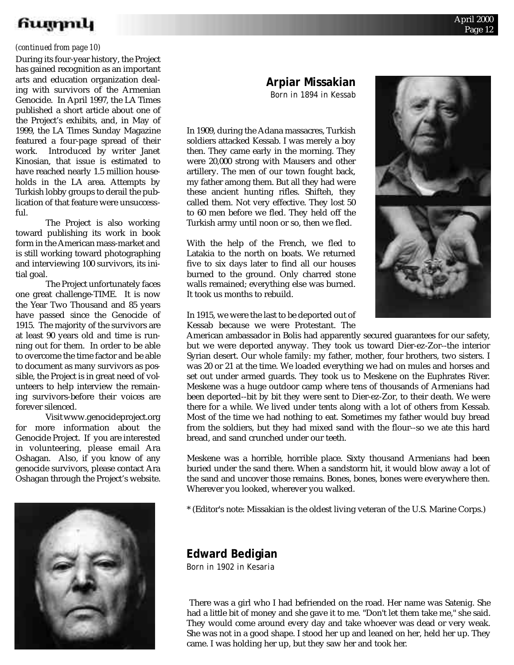#### *(continued from page 10)*

During its four-year history, the Project has gained recognition as an important arts and education organization dealing with survivors of the Armenian Genocide. In April 1997, the LA Times published a short article about one of the Project's exhibits, and, in May of 1999, the LA Times Sunday Magazine featured a four-page spread of their work. Introduced by writer Janet Kinosian, that issue is estimated to have reached nearly 1.5 million households in the LA area. Attempts by Turkish lobby groups to derail the publication of that feature were unsuccessful.

The Project is also working toward publishing its work in book form in the American mass-market and is still working toward photographing and interviewing 100 survivors, its initial goal.

The Project unfortunately faces one great challenge-TIME. It is now the Year Two Thousand and 85 years have passed since the Genocide of 1915. The majority of the survivors are at least 90 years old and time is running out for them. In order to be able to overcome the time factor and be able to document as many survivors as possible, the Project is in great need of volunteers to help interview the remaining survivors-before their voices are forever silenced.

Visit www.genocideproject.org for more information about the Genocide Project. If you are interested in volunteering, please email Ara Oshagan. Also, if you know of any genocide survivors, please contact Ara Oshagan through the Project's website.



#### **Arpiar Missakian**

*Born in 1894 in Kessab*

In 1909, during the Adana massacres, Turkish soldiers attacked Kessab. I was merely a boy then. They came early in the morning. They were 20,000 strong with Mausers and other artillery. The men of our town fought back, my father among them. But all they had were these ancient hunting rifles. Shifteh, they called them. Not very effective. They lost 50 to 60 men before we fled. They held off the Turkish army until noon or so, then we fled.

With the help of the French, we fled to Latakia to the north on boats. We returned five to six days later to find all our houses burned to the ground. Only charred stone walls remained; everything else was burned. It took us months to rebuild.



In 1915, we were the last to be deported out of Kessab because we were Protestant. The

American ambassador in Bolis had apparently secured guarantees for our safety, but we were deported anyway. They took us toward Dier-ez-Zor--the interior Syrian desert. Our whole family: my father, mother, four brothers, two sisters. I was 20 or 21 at the time. We loaded everything we had on mules and horses and set out under armed guards. They took us to Meskene on the Euphrates River. Meskene was a huge outdoor camp where tens of thousands of Armenians had been deported--bit by bit they were sent to Dier-ez-Zor, to their death. We were there for a while. We lived under tents along with a lot of others from Kessab. Most of the time we had nothing to eat. Sometimes my father would buy bread from the soldiers, but they had mixed sand with the flour--so we ate this hard bread, and sand crunched under our teeth.

Meskene was a horrible, horrible place. Sixty thousand Armenians had been buried under the sand there. When a sandstorm hit, it would blow away a lot of the sand and uncover those remains. Bones, bones, bones were everywhere then. Wherever you looked, wherever you walked.

\* (Editor's note: Missakian is the oldest living veteran of the U.S. Marine Corps.)

#### **Edward Bedigian**

*Born in 1902 in Kesaria*

There was a girl who I had befriended on the road. Her name was Satenig. She had a little bit of money and she gave it to me. "Don't let them take me," she said. They would come around every day and take whoever was dead or very weak. She was not in a good shape. I stood her up and leaned on her, held her up. They came. I was holding her up, but they saw her and took her.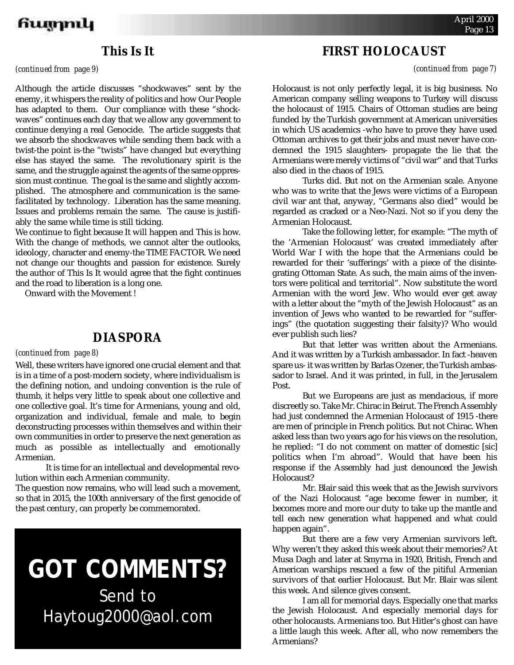#### April 2000 Page 13

*(continued from page 9)*

Although the article discusses "shockwaves" sent by the enemy, it whispers the reality of politics and how Our People has adapted to them. Our compliance with these "shockwaves" continues each day that we allow any government to continue denying a real Genocide. The article suggests that we absorb the shockwaves while sending them back with a twist-the point is-the "twists" have changed but everything else has stayed the same. The revolutionary spirit is the same, and the struggle against the agents of the same oppression must continue. The goal is the same and slightly accomplished. The atmosphere and communication is the samefacilitated by technology. Liberation has the same meaning. Issues and problems remain the same. The cause is justifiably the same while time is still ticking.

We continue to fight because It will happen and This is how. With the change of methods, we cannot alter the outlooks, ideology, character and enemy-the TIME FACTOR. We need not change our thoughts and passion for existence. Surely the author of This Is It would agree that the fight continues and the road to liberation is a long one.

Onward with the Movement !

#### **DIASPORA**

#### *(continued from page 8)*

Well, these writers have ignored one crucial element and that is in a time of a post-modern society, where individualism is the defining notion, and undoing convention is the rule of thumb, it helps very little to speak about one collective and one collective goal. It's time for Armenians, young and old, organization and individual, female and male, to begin deconstructing processes within themselves and within their own communities in order to preserve the next generation as much as possible as intellectually and emotionally Armenian.

It is time for an intellectual and developmental revolution within each Armenian community.

The question now remains, who will lead such a movement, so that in 2015, the 100th anniversary of the first genocide of the past century, can properly be commemorated.

# **GOT COMMENTS?**

Send to Haytoug2000@aol.com

**This Is It FIRST HOLOCAUST**

*(continued from page 7)*

Holocaust is not only perfectly legal, it is big business. No American company selling weapons to Turkey will discuss the holocaust of 1915. Chairs of Ottoman studies are being funded by the Turkish government at American universities in which US academics -who have to prove they have used Ottoman archives to get their jobs and must never have condemned the 1915 slaughters- propagate the lie that the Armenians were merely victims of "civil war" and that Turks also died in the chaos of 1915.

Turks did. But not on the Armenian scale. Anyone who was to write that the Jews were victims of a European civil war ant that, anyway, "Germans also died" would be regarded as cracked or a Neo-Nazi. Not so if you deny the Armenian Holocaust.

Take the following letter, for example: "The myth of the 'Armenian Holocaust' was created immediately after World War I with the hope that the Armenians could be rewarded for their 'sufferings' with a piece of the disintegrating Ottoman State. As such, the main aims of the inventors were political and territorial". Now substitute the word Armenian with the word Jew. Who would ever get away with a letter about the "myth of the Jewish Holocaust" as an invention of Jews who wanted to be rewarded for "sufferings" (the quotation suggesting their falsity)? Who would ever publish such lies?

But that letter was written about the Armenians. And it was written by a Turkish ambassador. In fact -heaven spare us- it was written by Barlas Ozener, the Turkish ambassador to Israel. And it was printed, in full, in the Jerusalem Post.

But we Europeans are just as mendacious, if more discreetly so. Take Mr. Chirac in Beirut. The French Assembly had just condemned the Armenian Holocaust of 1915 -there are men of principle in French politics. But not Chirac. When asked less than two years ago for his views on the resolution, he replied: "I do not comment on matter of domestic [sic] politics when I'm abroad". Would that have been his response if the Assembly had just denounced the Jewish Holocaust?

Mr. Blair said this week that as the Jewish survivors of the Nazi Holocaust "age become fewer in number, it becomes more and more our duty to take up the mantle and tell each new generation what happened and what could happen again".

But there are a few very Armenian survivors left. Why weren't they asked this week about their memories? At Musa Dagh and later at Smyrna in 1920, British, French and American warships rescued a few of the pitiful Armenian survivors of that earlier Holocaust. But Mr. Blair was silent this week. And silence gives consent.

I am all for memorial days. Especially one that marks the Jewish Holocaust. And especially memorial days for other holocausts. Armenians too. But Hitler's ghost can have a little laugh this week. After all, who now remembers the Armenians?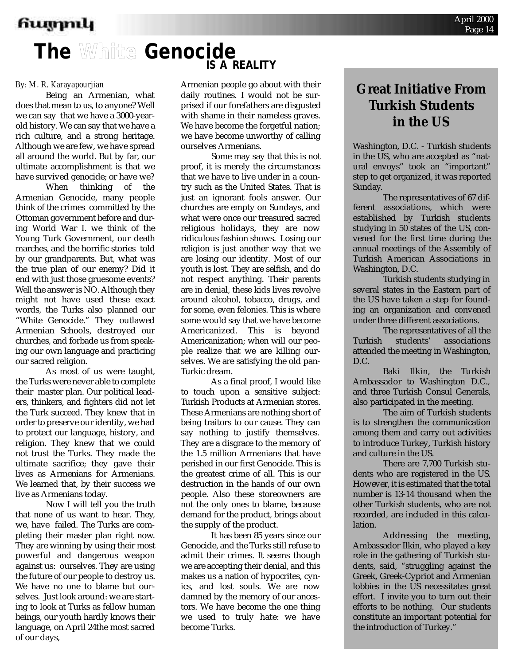## **The White Genocide** *IS* **A REALITY**

#### *By: M. R. Karayapourjian*

Being an Armenian, what does that mean to us, to anyone? Well we can say that we have a 3000-yearold history. We can say that we have a rich culture, and a strong heritage. Although we are few, we have spread all around the world. But by far, our ultimate accomplishment is that we have survived genocide; or have we?

When thinking of the Armenian Genocide, many people think of the crimes committed by the Ottoman government before and during World War I. we think of the Young Turk Government, our death marches, and the horrific stories told by our grandparents. But, what was the true plan of our enemy? Did it end with just those gruesome events? Well the answer is NO. Although they might not have used these exact words, the Turks also planned our "White Genocide." They outlawed Armenian Schools, destroyed our churches, and forbade us from speaking our own language and practicing our sacred religion.

As most of us were taught, the Turks were never able to complete their master plan. Our political leaders, thinkers, and fighters did not let the Turk succeed. They knew that in order to preserve our identity, we had to protect our language, history, and religion. They knew that we could not trust the Turks. They made the ultimate sacrifice; they gave their lives as Armenians for Armenians. We learned that, by their success we live as Armenians today.

Now I will tell you the truth that none of us want to hear. They, we, have failed. The Turks are completing their master plan right now. They are winning by using their most powerful and dangerous weapon against us: ourselves. They are using the future of our people to destroy us. We have no one to blame but ourselves. Just look around: we are starting to look at Turks as fellow human beings, our youth hardly knows their language, on April 24the most sacred of our days,

Armenian people go about with their daily routines. I would not be surprised if our forefathers are disgusted with shame in their nameless graves. We have become the forgetful nation; we have become unworthy of calling ourselves Armenians.

Some may say that this is not proof, it is merely the circumstances that we have to live under in a country such as the United States. That is just an ignorant fools answer. Our churches are empty on Sundays, and what were once our treasured sacred religious holidays, they are now ridiculous fashion shows. Losing our religion is just another way that we are losing our identity. Most of our youth is lost. They are selfish, and do not respect anything. Their parents are in denial, these kids lives revolve around alcohol, tobacco, drugs, and for some, even felonies. This is where some would say that we have become Americanized. This is beyond Americanization; when will our people realize that we are killing ourselves. We are satisfying the old pan-Turkic dream.

As a final proof, I would like to touch upon a sensitive subject: Turkish Products at Armenian stores. These Armenians are nothing short of being traitors to our cause. They can say nothing to justify themselves. They are a disgrace to the memory of the 1.5 million Armenians that have perished in our first Genocide. This is the greatest crime of all. This is our destruction in the hands of our own people. Also these storeowners are not the only ones to blame, because demand for the product, brings about the supply of the product.

It has been 85 years since our Genocide, and the Turks still refuse to admit their crimes. It seems though we are accepting their denial, and this makes us a nation of hypocrites, cynics, and lost souls. We are now damned by the memory of our ancestors. We have become the one thing we used to truly hate: we have become Turks.

## **Great Initiative From Turkish Students in the US**

Washington, D.C. - Turkish students in the US, who are accepted as "natural envoys" took an "important" step to get organized, it was reported Sunday.

The representatives of 67 different associations, which were established by Turkish students studying in 50 states of the US, convened for the first time during the annual meetings of the Assembly of Turkish American Associations in Washington, D.C.

Turkish students studying in several states in the Eastern part of the US have taken a step for founding an organization and convened under three different associations.

The representatives of all the Turkish students' associations attended the meeting in Washington, D.C.

Baki Ilkin, the Turkish Ambassador to Washington D.C., and three Turkish Consul Generals, also participated in the meeting.

The aim of Turkish students is to strengthen the communication among them and carry out activities to introduce Turkey, Turkish history and culture in the US.

There are 7,700 Turkish students who are registered in the US. However, it is estimated that the total number is 13-14 thousand when the other Turkish students, who are not recorded, are included in this calculation.

Addressing the meeting, Ambassador Ilkin, who played a key role in the gathering of Turkish students, said, "struggling against the Greek, Greek-Cypriot and Armenian lobbies in the US necessitates great effort. I invite you to turn out their efforts to be nothing. Our students constitute an important potential for the introduction of Turkey."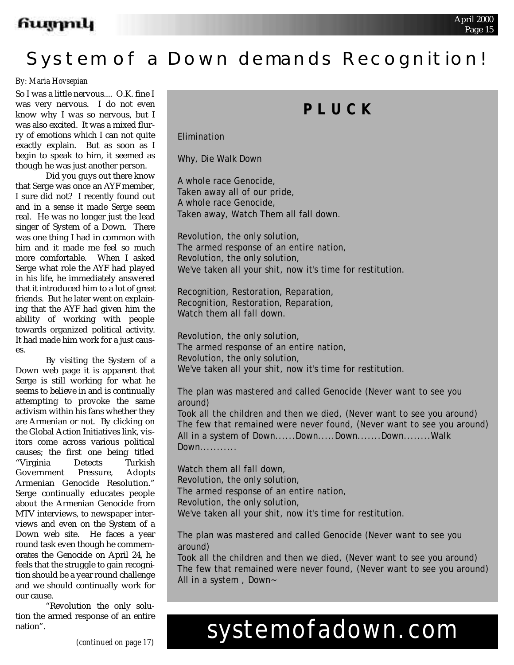## System of a Down demands Recognition!

*By: Maria Hovsepian*

So I was a little nervous.... O.K. fine I was very nervous. I do not even know why I was so nervous, but I was also excited. It was a mixed flurry of emotions which I can not quite exactly explain. But as soon as I begin to speak to him, it seemed as though he was just another person.

Did you guys out there know that Serge was once an AYF member, I sure did not? I recently found out and in a sense it made Serge seem real. He was no longer just the lead singer of System of a Down. There was one thing I had in common with him and it made me feel so much more comfortable. When I asked Serge what role the AYF had played in his life, he immediately answered that it introduced him to a lot of great friends. But he later went on explaining that the AYF had given him the ability of working with people towards organized political activity. It had made him work for a just causes.

By visiting the System of a Down web page it is apparent that Serge is still working for what he seems to believe in and is continually attempting to provoke the same activism within his fans whether they are Armenian or not. By clicking on the Global Action Initiatives link, visitors come across various political causes; the first one being titled "Virginia Detects Turkish Government Pressure. Adopts Armenian Genocide Resolution." Serge continually educates people about the Armenian Genocide from MTV interviews, to newspaper interviews and even on the System of a Down web site. He faces a year round task even though he commemorates the Genocide on April 24, he feels that the struggle to gain recognition should be a year round challenge and we should continually work for our cause.

"Revolution the only solution the armed response of an entire nation".

#### Elimination

Why, Die Walk Down

A whole race Genocide, Taken away all of our pride, A whole race Genocide, Taken away, Watch Them all fall down.

Revolution, the only solution, The armed response of an entire nation, Revolution, the only solution, We've taken all your shit, now it's time for restitution.

Recognition, Restoration, Reparation, Recognition, Restoration, Reparation, Watch them all fall down.

Revolution, the only solution, The armed response of an entire nation, Revolution, the only solution, We've taken all your shit, now it's time for restitution.

The plan was mastered and called Genocide (Never want to see you around)

Took all the children and then we died, (Never want to see you around) The few that remained were never found, (Never want to see you around) All in a system of Down......Down.....Down.......Down........Walk Down...........

**P L U C K**

Watch them all fall down, Revolution, the only solution, The armed response of an entire nation, Revolution, the only solution, We've taken all your shit, now it's time for restitution.

The plan was mastered and called Genocide (Never want to see you around)

Took all the children and then we died, (Never want to see you around) The few that remained were never found, (Never want to see you around) All in a system , Down~

## systemofadown.com

*(continued on page 17)*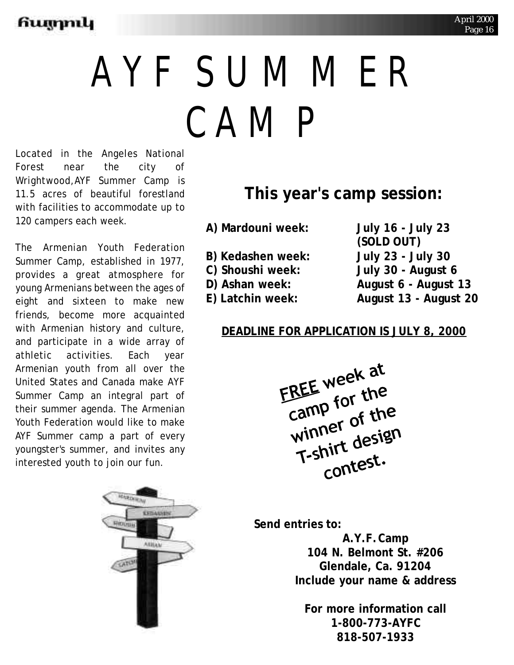հայրուկ

# *AYF SUMMER CAMP*

Located in the Angeles National Forest near the city of Wrightwood, AYF Summer Camp is 11.5 acres of beautiful forestland with facilities to accommodate up to 120 campers each week.

The Armenian Youth Federation Summer Camp, established in 1977, provides a great atmosphere for young Armenians between the ages of eight and sixteen to make new friends, become more acquainted with Armenian history and culture, and participate in a wide array of athletic activities. Each year Armenian youth from all over the United States and Canada make AYF Summer Camp an integral part of their summer agenda. The Armenian Youth Federation would like to make AYF Summer camp a part of every youngster's summer, and invites any interested youth to join our fun.



## **This year's camp session:**

**A) Mardouni week: July 16 - July 23** 

- 
- 
- 
- 

**(SOLD OUT) B) Kedashen week: July 23 - July 30 C) Shoushi week: July 30 - August 6 D) Ashan week: August 6 - August 13 E) Latchin week: August 13 - August 20**

#### **DEADLINE FOR APPLICATION IS JULY 8, 2000**



**Send entries to:**

**A.Y.F. Camp 104 N. Belmont St. #206 Glendale, Ca. 91204 Include your name & address**

**For more information call 1-800-773-AYFC 818-507-1933**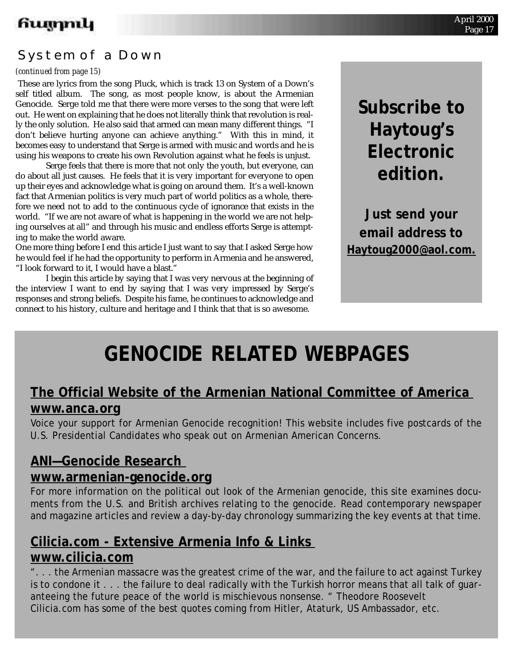## System of a Down

#### *(continued from page 15)*

These are lyrics from the song Pluck, which is track 13 on System of a Down's self titled album. The song, as most people know, is about the Armenian Genocide. Serge told me that there were more verses to the song that were left out. He went on explaining that he does not literally think that revolution is really the only solution. He also said that armed can mean many different things. "I don't believe hurting anyone can achieve anything." With this in mind, it becomes easy to understand that Serge is armed with music and words and he is using his weapons to create his own Revolution against what he feels is unjust.

Serge feels that there is more that not only the youth, but everyone, can do about all just causes. He feels that it is very important for everyone to open up their eyes and acknowledge what is going on around them. It's a well-known fact that Armenian politics is very much part of world politics as a whole, therefore we need not to add to the continuous cycle of ignorance that exists in the world. "If we are not aware of what is happening in the world we are not helping ourselves at all" and through his music and endless efforts Serge is attempting to make the world aware.

One more thing before I end this article I just want to say that I asked Serge how he would feel if he had the opportunity to perform in Armenia and he answered, "I look forward to it, I would have a blast."

I begin this article by saying that I was very nervous at the beginning of the interview I want to end by saying that I was very impressed by Serge's responses and strong beliefs. Despite his fame, he continues to acknowledge and connect to his history, culture and heritage and I think that that is so awesome.

## **Subscribe to Haytoug's Electronic edition.**

**Just send your email address to Haytoug2000@aol.com.**

## **GENOCIDE RELATED WEBPAGES**

## **The Official Website of the Armenian National Committee of America www.anca.org**

Voice your support for Armenian Genocide recognition! This website includes five postcards of the U.S. Presidential Candidates who speak out on Armenian American Concerns.

## **ANI—Genocide Research**

#### **www.armenian-genocide.org**

For more information on the political out look of the Armenian genocide, this site examines documents from the U.S. and British archives relating to the genocide. Read contemporary newspaper and magazine articles and review a day-by-day chronology summarizing the key events at that time.

#### **Cilicia.com - Extensive Armenia Info & Links www.cilicia.com**

". . . the Armenian massacre was the greatest crime of the war, and the failure to act against Turkey is to condone it . . . the failure to deal radically with the Turkish horror means that all talk of guaranteeing the future peace of the world is mischievous nonsense. " Theodore Roosevelt Cilicia.com has some of the best quotes coming from Hitler, Ataturk, US Ambassador, etc.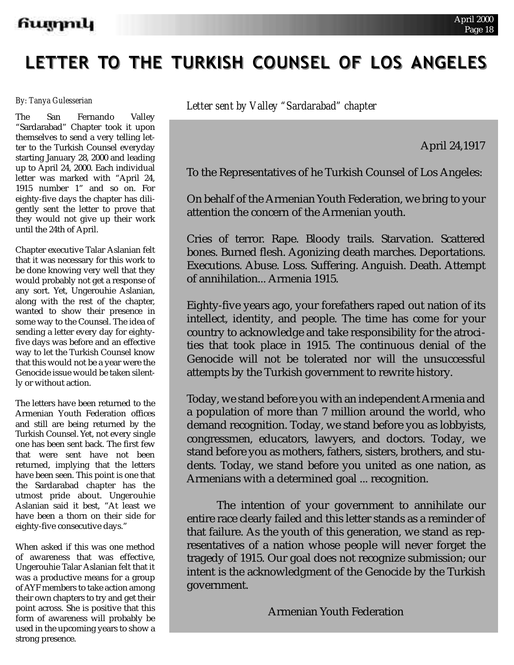## LETTER TO THE TURKISH COUNSEL OF LOS ANGELES

#### *By: Tanya Gulesserian*

The San Fernando Valley "Sardarabad" Chapter took it upon themselves to send a very telling letter to the Turkish Counsel everyday starting January 28, 2000 and leading up to April 24, 2000. Each individual letter was marked with "April 24, 1915 number 1" and so on. For eighty-five days the chapter has diligently sent the letter to prove that they would not give up their work until the 24th of April.

Chapter executive Talar Aslanian felt that it was necessary for this work to be done knowing very well that they would probably not get a response of any sort. Yet, Ungerouhie Aslanian, along with the rest of the chapter, wanted to show their presence in some way to the Counsel. The idea of sending a letter every day for eightyfive days was before and an effective way to let the Turkish Counsel know that this would not be a year were the Genocide issue would be taken silently or without action.

The letters have been returned to the Armenian Youth Federation offices and still are being returned by the Turkish Counsel. Yet, not every single one has been sent back. The first few that were sent have not been returned, implying that the letters have been seen. This point is one that the Sardarabad chapter has the utmost pride about. Ungerouhie Aslanian said it best, "At least we have been a thorn on their side for eighty-five consecutive days."

When asked if this was one method of awareness that was effective. Ungerouhie Talar Aslanian felt that it was a productive means for a group of AYF members to take action among their own chapters to try and get their point across. She is positive that this form of awareness will probably be used in the upcoming years to show a strong presence.

*Letter sent by Valley "Sardarabad" chapter*

#### April 24,1917

To the Representatives of he Turkish Counsel of Los Angeles:

On behalf of the Armenian Youth Federation, we bring to your attention the concern of the Armenian youth.

Cries of terror. Rape. Bloody trails. Starvation. Scattered bones. Burned flesh. Agonizing death marches. Deportations. Executions. Abuse. Loss. Suffering. Anguish. Death. Attempt of annihilation... Armenia 1915.

Eighty-five years ago, your forefathers raped out nation of its intellect, identity, and people. The time has come for your country to acknowledge and take responsibility for the atrocities that took place in 1915. The continuous denial of the Genocide will not be tolerated nor will the unsuccessful attempts by the Turkish government to rewrite history.

Today, we stand before you with an independent Armenia and a population of more than 7 million around the world, who demand recognition. Today, we stand before you as lobbyists, congressmen, educators, lawyers, and doctors. Today, we stand before you as mothers, fathers, sisters, brothers, and students. Today, we stand before you united as one nation, as Armenians with a determined goal ... recognition.

The intention of your government to annihilate our entire race clearly failed and this letter stands as a reminder of that failure. As the youth of this generation, we stand as representatives of a nation whose people will never forget the tragedy of 1915. Our goal does not recognize submission; our intent is the acknowledgment of the Genocide by the Turkish government.

Armenian Youth Federation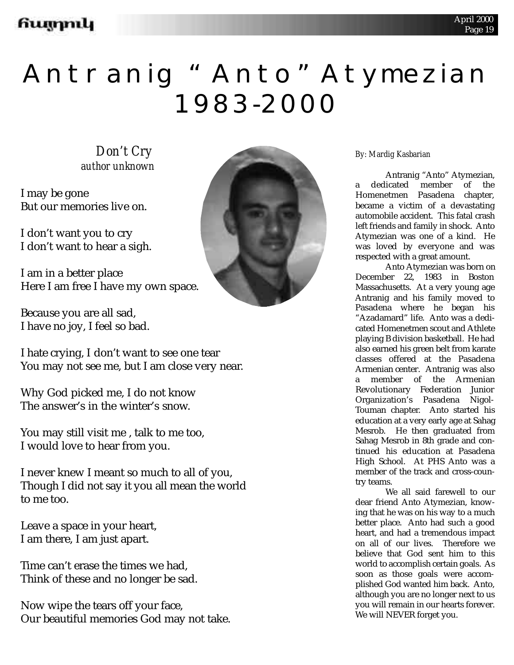# Antranig " Anto" Atymezian 1983-2000

*Don't Cry author unknown*

I may be gone But our memories live on.

I don't want you to cry I don't want to hear a sigh.

I am in a better place Here I am free I have my own space.

Because you are all sad, I have no joy, I feel so bad.

I hate crying, I don't want to see one tear You may not see me, but I am close very near.

Why God picked me, I do not know The answer's in the winter's snow.

You may still visit me , talk to me too, I would love to hear from you.

I never knew I meant so much to all of you, Though I did not say it you all mean the world to me too.

Leave a space in your heart, I am there, I am just apart.

Time can't erase the times we had, Think of these and no longer be sad.

Now wipe the tears off your face, Our beautiful memories God may not take.



*By: Mardig Kasbarian*

Antranig "Anto" Atymezian, a dedicated member of the Homenetmen Pasadena chapter, became a victim of a devastating automobile accident. This fatal crash left friends and family in shock. Anto Atymezian was one of a kind. He was loved by everyone and was respected with a great amount.

Anto Atymezian was born on December 22, 1983 in Boston Massachusetts. At a very young age Antranig and his family moved to Pasadena where he began his "Azadamard" life. Anto was a dedicated Homenetmen scout and Athlete playing B division basketball. He had also earned his green belt from karate classes offered at the Pasadena Armenian center. Antranig was also a member of the Armenian Revolutionary Federation Junior Organization's Pasadena Nigol-Touman chapter. Anto started his education at a very early age at Sahag Mesrob. He then graduated from Sahag Mesrob in 8th grade and continued his education at Pasadena High School. At PHS Anto was a member of the track and cross-country teams.

We all said farewell to our dear friend Anto Atymezian, knowing that he was on his way to a much better place. Anto had such a good heart, and had a tremendous impact on all of our lives. Therefore we believe that God sent him to this world to accomplish certain goals. As soon as those goals were accomplished God wanted him back. Anto, although you are no longer next to us you will remain in our hearts forever. We will NEVER forget you.